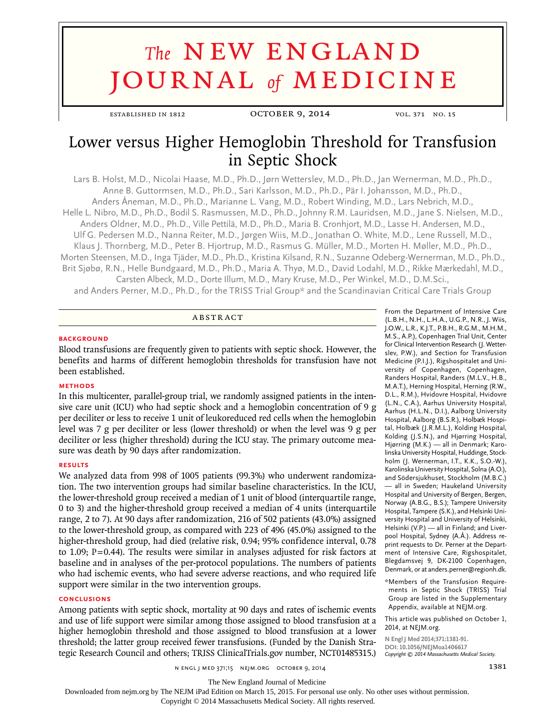# **The NEW ENGLAND** journal *of* medicine

established in 1812 october 9, 2014 vol. 371 no. 15

# Lower versus Higher Hemoglobin Threshold for Transfusion in Septic Shock

Lars B. Holst, M.D., Nicolai Haase, M.D., Ph.D., Jørn Wetterslev, M.D., Ph.D., Jan Wernerman, M.D., Ph.D., Anne B. Guttormsen, M.D., Ph.D., Sari Karlsson, M.D., Ph.D., Pär I. Johansson, M.D., Ph.D., Anders Åneman, M.D., Ph.D., Marianne L. Vang, M.D., Robert Winding, M.D., Lars Nebrich, M.D., Helle L. Nibro, M.D., Ph.D., Bodil S. Rasmussen, M.D., Ph.D., Johnny R.M. Lauridsen, M.D., Jane S. Nielsen, M.D., Anders Oldner, M.D., Ph.D., Ville Pettilä, M.D., Ph.D., Maria B. Cronhjort, M.D., Lasse H. Andersen, M.D., Ulf G. Pedersen M.D., Nanna Reiter, M.D., Jørgen Wiis, M.D., Jonathan O. White, M.D., Lene Russell, M.D., Klaus J. Thornberg, M.D., Peter B. Hjortrup, M.D., Rasmus G. Müller, M.D., Morten H. Møller, M.D., Ph.D., Morten Steensen, M.D., Inga Tjäder, M.D., Ph.D., Kristina Kilsand, R.N., Suzanne Odeberg-Wernerman, M.D., Ph.D., Brit Sjøbø, R.N., Helle Bundgaard, M.D., Ph.D., Maria A. Thyø, M.D., David Lodahl, M.D., Rikke Mærkedahl, M.D., Carsten Albeck, M.D., Dorte Illum, M.D., Mary Kruse, M.D., Per Winkel, M.D., D.M.Sci., and Anders Perner, M.D., Ph.D., for the TRISS Trial Group\* and the Scandinavian Critical Care Trials Group

# ABSTRACT

#### **BACKGROUND**

Blood transfusions are frequently given to patients with septic shock. However, the benefits and harms of different hemoglobin thresholds for transfusion have not been established.

# **METHODS**

In this multicenter, parallel-group trial, we randomly assigned patients in the intensive care unit (ICU) who had septic shock and a hemoglobin concentration of 9 g per deciliter or less to receive 1 unit of leukoreduced red cells when the hemoglobin level was 7 g per deciliter or less (lower threshold) or when the level was 9 g per deciliter or less (higher threshold) during the ICU stay. The primary outcome measure was death by 90 days after randomization.

#### **RESULTS**

We analyzed data from 998 of 1005 patients (99.3%) who underwent randomization. The two intervention groups had similar baseline characteristics. In the ICU, the lower-threshold group received a median of 1 unit of blood (interquartile range, 0 to 3) and the higher-threshold group received a median of 4 units (interquartile range, 2 to 7). At 90 days after randomization, 216 of 502 patients (43.0%) assigned to the lower-threshold group, as compared with 223 of 496 (45.0%) assigned to the higher-threshold group, had died (relative risk, 0.94; 95% confidence interval, 0.78 to 1.09; P=0.44). The results were similar in analyses adjusted for risk factors at baseline and in analyses of the per-protocol populations. The numbers of patients who had ischemic events, who had severe adverse reactions, and who required life support were similar in the two intervention groups.

#### **CONCLUSIONS**

Among patients with septic shock, mortality at 90 days and rates of ischemic events and use of life support were similar among those assigned to blood transfusion at a higher hemoglobin threshold and those assigned to blood transfusion at a lower threshold; the latter group received fewer transfusions. (Funded by the Danish Strategic Research Council and others; TRISS ClinicalTrials.gov number, NCT01485315.)

From the Department of Intensive Care (L.B.H., N.H., L.H.A., U.G.P., N.R., J. Wiis, J.O.W., L.R., K.J.T., P.B.H., R.G.M., M.H.M., M.S., A.P.), Copenhagen Trial Unit, Center for Clinical Intervention Research (J. Wetterslev, P.W.), and Section for Transfusion Medicine (P.I.J.), Rigshospitalet and University of Copenhagen, Copenhagen, Randers Hospital, Randers (M.L.V., H.B., M.A.T.), Herning Hospital, Herning (R.W., D.L., R.M.), Hvidovre Hospital, Hvidovre (L.N., C.A.), Aarhus University Hospital, Aarhus (H.L.N., D.I.), Aalborg University Hospital, Aalborg (B.S.R.), Holbæk Hospital, Holbæk (J.R.M.L.), Kolding Hospital, Kolding (J.S.N.), and Hjørring Hospital, Hjørring (M.K.) — all in Denmark; Karolinska University Hospital, Huddinge, Stockholm (J. Wernerman, I.T., K.K., S.O.-W.), Karolinska University Hospital, Solna (A.O.), and Södersjukhuset, Stockholm (M.B.C.) — all in Sweden; Haukeland University Hospital and University of Bergen, Bergen, Norway (A.B.G., B.S.); Tampere University Hospital, Tampere (S.K.), and Helsinki University Hospital and University of Helsinki, Helsinki (V.P.) — all in Finland; and Liverpool Hospital, Sydney (A.Å.). Address reprint requests to Dr. Perner at the Department of Intensive Care, Rigshospitalet, Blegdamsvej 9, DK-2100 Copenhagen, Denmark, or at anders.perner@regionh.dk.

\*Members of the Transfusion Requirements in Septic Shock (TRISS) Trial Group are listed in the Supplementary Appendix, available at NEJM.org.

This article was published on October 1, 2014, at NEJM.org.

**N Engl J Med 2014;371:1381-91. DOI: 10.1056/NEJMoa1406617** *Copyright © 2014 Massachusetts Medical Society.*

The New England Journal of Medicine

Downloaded from nejm.org by The NEJM iPad Edition on March 15, 2015. For personal use only. No other uses without permission.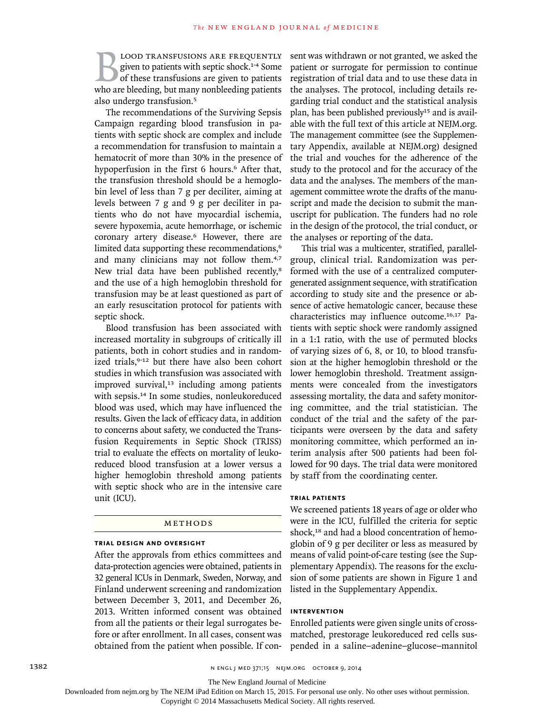**EXECUTE SHOOD TRANSFUSIONS ARE FREQUENTLY**<br>given to patients with septic shock.<sup>1-4</sup> Some<br>of these transfusions are given to patients<br>who are bleeding. but many nonbleeding patients given to patients with septic shock.1-4 Some of these transfusions are given to patients who are bleeding, but many nonbleeding patients also undergo transfusion.<sup>5</sup>

The recommendations of the Surviving Sepsis Campaign regarding blood transfusion in patients with septic shock are complex and include a recommendation for transfusion to maintain a hematocrit of more than 30% in the presence of hypoperfusion in the first 6 hours.<sup>6</sup> After that, the transfusion threshold should be a hemoglobin level of less than 7 g per deciliter, aiming at levels between 7 g and 9 g per deciliter in patients who do not have myocardial ischemia, severe hypoxemia, acute hemorrhage, or ischemic coronary artery disease.<sup>6</sup> However, there are limited data supporting these recommendations,<sup>6</sup> and many clinicians may not follow them.4,7 New trial data have been published recently,<sup>8</sup> and the use of a high hemoglobin threshold for transfusion may be at least questioned as part of an early resuscitation protocol for patients with septic shock.

Blood transfusion has been associated with increased mortality in subgroups of critically ill patients, both in cohort studies and in randomized trials,<sup>9-12</sup> but there have also been cohort studies in which transfusion was associated with improved survival,<sup>13</sup> including among patients with sepsis.14 In some studies, nonleukoreduced blood was used, which may have influenced the results. Given the lack of efficacy data, in addition to concerns about safety, we conducted the Transfusion Requirements in Septic Shock (TRISS) trial to evaluate the effects on mortality of leukoreduced blood transfusion at a lower versus a higher hemoglobin threshold among patients with septic shock who are in the intensive care unit (ICU).

#### **METHODS**

#### **TRIAL DESIGN AND OVERSIGHT**

After the approvals from ethics committees and data-protection agencies were obtained, patients in 32 general ICUs in Denmark, Sweden, Norway, and Finland underwent screening and randomization between December 3, 2011, and December 26, 2013. Written informed consent was obtained from all the patients or their legal surrogates before or after enrollment. In all cases, consent was obtained from the patient when possible. If consent was withdrawn or not granted, we asked the patient or surrogate for permission to continue registration of trial data and to use these data in the analyses. The protocol, including details regarding trial conduct and the statistical analysis plan, has been published previously<sup>15</sup> and is available with the full text of this article at NEJM.org. The management committee (see the Supplementary Appendix, available at NEJM.org) designed the trial and vouches for the adherence of the study to the protocol and for the accuracy of the data and the analyses. The members of the management committee wrote the drafts of the manuscript and made the decision to submit the manuscript for publication. The funders had no role in the design of the protocol, the trial conduct, or the analyses or reporting of the data.

This trial was a multicenter, stratified, parallelgroup, clinical trial. Randomization was performed with the use of a centralized computergenerated assignment sequence, with stratification according to study site and the presence or absence of active hematologic cancer, because these characteristics may influence outcome.16,17 Patients with septic shock were randomly assigned in a 1:1 ratio, with the use of permuted blocks of varying sizes of 6, 8, or 10, to blood transfusion at the higher hemoglobin threshold or the lower hemoglobin threshold. Treatment assignments were concealed from the investigators assessing mortality, the data and safety monitoring committee, and the trial statistician. The conduct of the trial and the safety of the participants were overseen by the data and safety monitoring committee, which performed an interim analysis after 500 patients had been followed for 90 days. The trial data were monitored by staff from the coordinating center.

#### **TRIAL PATIENTS**

We screened patients 18 years of age or older who were in the ICU, fulfilled the criteria for septic shock,<sup>18</sup> and had a blood concentration of hemoglobin of 9 g per deciliter or less as measured by means of valid point-of-care testing (see the Supplementary Appendix). The reasons for the exclusion of some patients are shown in Figure 1 and listed in the Supplementary Appendix.

# **INTERVENTION**

Enrolled patients were given single units of crossmatched, prestorage leukoreduced red cells suspended in a saline–adenine–glucose–mannitol

1382 **n engl j med 371;15 NEIM.ORG OCTOBER 9, 2014** 

The New England Journal of Medicine

Downloaded from nejm.org by The NEJM iPad Edition on March 15, 2015. For personal use only. No other uses without permission.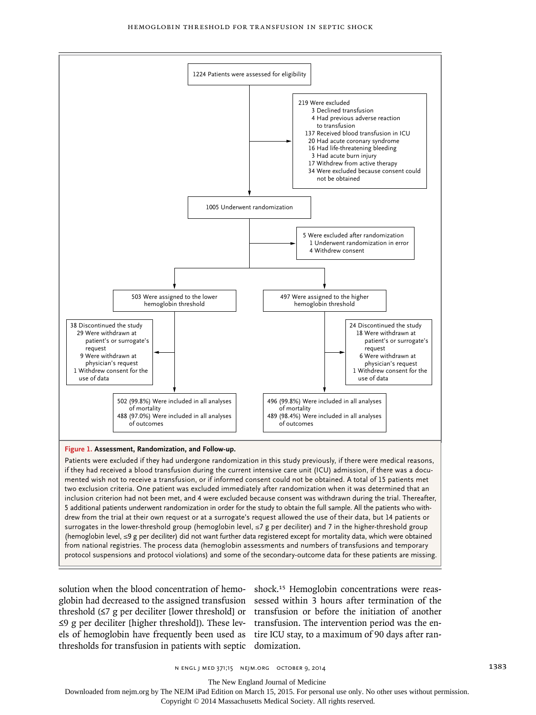

if they had received a blood transfusion during the current intensive care unit (ICU) admission, if there was a documented wish not to receive a transfusion, or if informed consent could not be obtained. A total of 15 patients met two exclusion criteria. One patient was excluded immediately after randomization when it was determined that an inclusion criterion had not been met, and 4 were excluded because consent was withdrawn during the trial. Thereafter, 5 additional patients underwent randomization in order for the study to obtain the full sample. All the patients who withdrew from the trial at their own request or at a surrogate's request allowed the use of their data, but 14 patients or surrogates in the lower-threshold group (hemoglobin level, ≤7 g per deciliter) and 7 in the higher-threshold group (hemoglobin level, ≤9 g per deciliter) did not want further data registered except for mortality data, which were obtained from national registries. The process data (hemoglobin assessments and numbers of transfusions and temporary protocol suspensions and protocol violations) and some of the secondary-outcome data for these patients are missing.

solution when the blood concentration of hemo- shock.<sup>15</sup> Hemoglobin concentrations were reasglobin had decreased to the assigned transfusion sessed within 3 hours after termination of the threshold (≤7 g per deciliter [lower threshold] or transfusion or before the initiation of another ≤9 g per deciliter [higher threshold]). These lev-transfusion. The intervention period was the enels of hemoglobin have frequently been used as tire ICU stay, to a maximum of 90 days after ranthresholds for transfusion in patients with septic

domization.

n engl j med 371;15 nejm.org october 9, 2014 1383

The New England Journal of Medicine

Downloaded from nejm.org by The NEJM iPad Edition on March 15, 2015. For personal use only. No other uses without permission.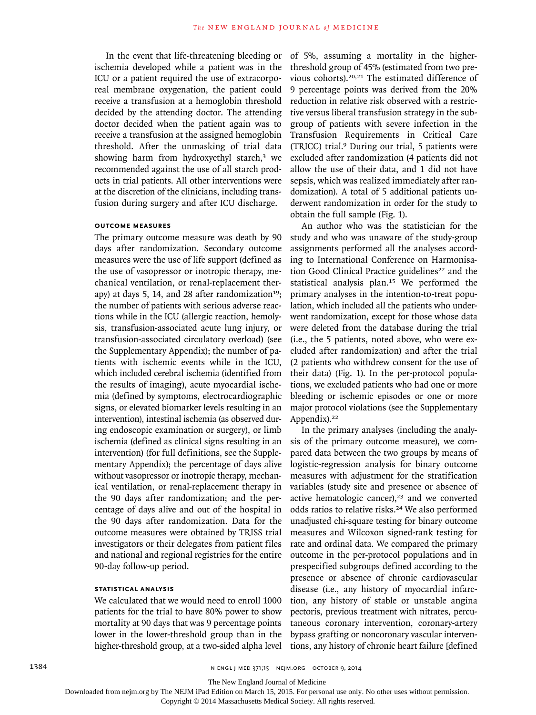In the event that life-threatening bleeding or ischemia developed while a patient was in the ICU or a patient required the use of extracorporeal membrane oxygenation, the patient could receive a transfusion at a hemoglobin threshold decided by the attending doctor. The attending doctor decided when the patient again was to receive a transfusion at the assigned hemoglobin threshold. After the unmasking of trial data showing harm from hydroxyethyl starch,<sup>3</sup> we recommended against the use of all starch products in trial patients. All other interventions were at the discretion of the clinicians, including transfusion during surgery and after ICU discharge.

# **OUTCOME MEASURES**

The primary outcome measure was death by 90 days after randomization. Secondary outcome measures were the use of life support (defined as the use of vasopressor or inotropic therapy, mechanical ventilation, or renal-replacement therapy) at days 5, 14, and 28 after randomization<sup>19</sup>; the number of patients with serious adverse reactions while in the ICU (allergic reaction, hemolysis, transfusion-associated acute lung injury, or transfusion-associated circulatory overload) (see the Supplementary Appendix); the number of patients with ischemic events while in the ICU, which included cerebral ischemia (identified from the results of imaging), acute myocardial ischemia (defined by symptoms, electrocardiographic signs, or elevated biomarker levels resulting in an intervention), intestinal ischemia (as observed during endoscopic examination or surgery), or limb ischemia (defined as clinical signs resulting in an intervention) (for full definitions, see the Supplementary Appendix); the percentage of days alive without vasopressor or inotropic therapy, mechanical ventilation, or renal-replacement therapy in the 90 days after randomization; and the percentage of days alive and out of the hospital in the 90 days after randomization. Data for the outcome measures were obtained by TRISS trial investigators or their delegates from patient files and national and regional registries for the entire 90-day follow-up period.

### **STATISTICAL ANALYSIS**

We calculated that we would need to enroll 1000 patients for the trial to have 80% power to show mortality at 90 days that was 9 percentage points lower in the lower-threshold group than in the higher-threshold group, at a two-sided alpha level of 5%, assuming a mortality in the higherthreshold group of 45% (estimated from two previous cohorts).20,21 The estimated difference of 9 percentage points was derived from the 20% reduction in relative risk observed with a restrictive versus liberal transfusion strategy in the subgroup of patients with severe infection in the Transfusion Requirements in Critical Care (TRICC) trial.<sup>9</sup> During our trial, 5 patients were excluded after randomization (4 patients did not allow the use of their data, and 1 did not have sepsis, which was realized immediately after randomization). A total of 5 additional patients underwent randomization in order for the study to obtain the full sample (Fig. 1).

An author who was the statistician for the study and who was unaware of the study-group assignments performed all the analyses according to International Conference on Harmonisation Good Clinical Practice guidelines<sup>22</sup> and the statistical analysis plan.15 We performed the primary analyses in the intention-to-treat population, which included all the patients who underwent randomization, except for those whose data were deleted from the database during the trial (i.e., the 5 patients, noted above, who were excluded after randomization) and after the trial (2 patients who withdrew consent for the use of their data) (Fig. 1). In the per-protocol populations, we excluded patients who had one or more bleeding or ischemic episodes or one or more major protocol violations (see the Supplementary Appendix).<sup>22</sup>

In the primary analyses (including the analysis of the primary outcome measure), we compared data between the two groups by means of logistic-regression analysis for binary outcome measures with adjustment for the stratification variables (study site and presence or absence of active hematologic cancer), $23$  and we converted odds ratios to relative risks.<sup>24</sup> We also performed unadjusted chi-square testing for binary outcome measures and Wilcoxon signed-rank testing for rate and ordinal data. We compared the primary outcome in the per-protocol populations and in prespecified subgroups defined according to the presence or absence of chronic cardiovascular disease (i.e., any history of myocardial infarction, any history of stable or unstable angina pectoris, previous treatment with nitrates, percutaneous coronary intervention, coronary-artery bypass grafting or noncoronary vascular interventions, any history of chronic heart failure [defined

The New England Journal of Medicine

Downloaded from nejm.org by The NEJM iPad Edition on March 15, 2015. For personal use only. No other uses without permission.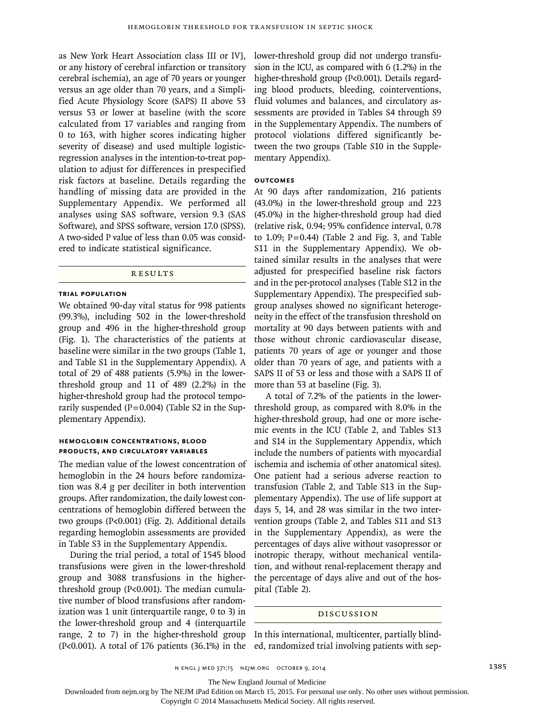as New York Heart Association class III or IV], or any history of cerebral infarction or transitory cerebral ischemia), an age of 70 years or younger versus an age older than 70 years, and a Simplified Acute Physiology Score (SAPS) II above 53 versus 53 or lower at baseline (with the score calculated from 17 variables and ranging from 0 to 163, with higher scores indicating higher severity of disease) and used multiple logisticregression analyses in the intention-to-treat population to adjust for differences in prespecified risk factors at baseline. Details regarding the handling of missing data are provided in the Supplementary Appendix. We performed all analyses using SAS software, version 9.3 (SAS Software), and SPSS software, version 17.0 (SPSS). A two-sided P value of less than 0.05 was considered to indicate statistical significance.

#### RESULTS

#### **TRIAL POPULATION**

We obtained 90-day vital status for 998 patients (99.3%), including 502 in the lower-threshold group and 496 in the higher-threshold group (Fig. 1). The characteristics of the patients at baseline were similar in the two groups (Table 1, and Table S1 in the Supplementary Appendix). A total of 29 of 488 patients (5.9%) in the lowerthreshold group and 11 of 489 (2.2%) in the higher-threshold group had the protocol temporarily suspended ( $P=0.004$ ) (Table S2 in the Supplementary Appendix).

### **HEMOGLOBIN CONCENTRATIONS, BLOOD PRODUCTS, AND CIRCULATORY VARIABLES**

The median value of the lowest concentration of hemoglobin in the 24 hours before randomization was 8.4 g per deciliter in both intervention groups. After randomization, the daily lowest concentrations of hemoglobin differed between the two groups (P<0.001) (Fig. 2). Additional details regarding hemoglobin assessments are provided in Table S3 in the Supplementary Appendix.

During the trial period, a total of 1545 blood transfusions were given in the lower-threshold group and 3088 transfusions in the higherthreshold group (P<0.001). The median cumulative number of blood transfusions after randomization was 1 unit (interquartile range, 0 to 3) in the lower-threshold group and 4 (interquartile range, 2 to 7) in the higher-threshold group (P<0.001). A total of 176 patients (36.1%) in the lower-threshold group did not undergo transfusion in the ICU, as compared with 6 (1.2%) in the higher-threshold group (P<0.001). Details regarding blood products, bleeding, cointerventions, fluid volumes and balances, and circulatory assessments are provided in Tables S4 through S9 in the Supplementary Appendix. The numbers of protocol violations differed significantly between the two groups (Table S10 in the Supplementary Appendix).

## **OUTCOMES**

At 90 days after randomization, 216 patients (43.0%) in the lower-threshold group and 223 (45.0%) in the higher-threshold group had died (relative risk, 0.94; 95% confidence interval, 0.78 to 1.09;  $P=0.44$ ) (Table 2 and Fig. 3, and Table S11 in the Supplementary Appendix). We obtained similar results in the analyses that were adjusted for prespecified baseline risk factors and in the per-protocol analyses (Table S12 in the Supplementary Appendix). The prespecified subgroup analyses showed no significant heterogeneity in the effect of the transfusion threshold on mortality at 90 days between patients with and those without chronic cardiovascular disease, patients 70 years of age or younger and those older than 70 years of age, and patients with a SAPS II of 53 or less and those with a SAPS II of more than 53 at baseline (Fig. 3).

A total of 7.2% of the patients in the lowerthreshold group, as compared with 8.0% in the higher-threshold group, had one or more ischemic events in the ICU (Table 2, and Tables S13 and S14 in the Supplementary Appendix, which include the numbers of patients with myocardial ischemia and ischemia of other anatomical sites). One patient had a serious adverse reaction to transfusion (Table 2, and Table S13 in the Supplementary Appendix). The use of life support at days 5, 14, and 28 was similar in the two intervention groups (Table 2, and Tables S11 and S13 in the Supplementary Appendix), as were the percentages of days alive without vasopressor or inotropic therapy, without mechanical ventilation, and without renal-replacement therapy and the percentage of days alive and out of the hospital (Table 2).

#### DISCUSSION

In this international, multicenter, partially blinded, randomized trial involving patients with sep-

The New England Journal of Medicine

Downloaded from nejm.org by The NEJM iPad Edition on March 15, 2015. For personal use only. No other uses without permission.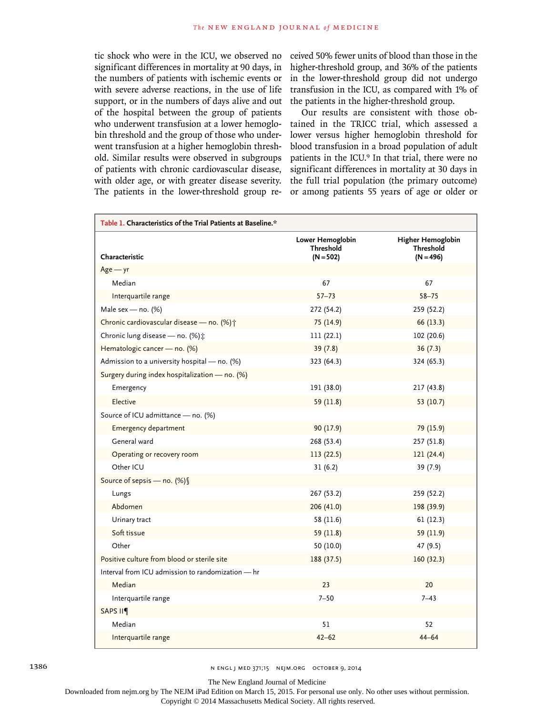tic shock who were in the ICU, we observed no significant differences in mortality at 90 days, in the numbers of patients with ischemic events or with severe adverse reactions, in the use of life support, or in the numbers of days alive and out of the hospital between the group of patients who underwent transfusion at a lower hemoglobin threshold and the group of those who underwent transfusion at a higher hemoglobin threshold. Similar results were observed in subgroups of patients with chronic cardiovascular disease, with older age, or with greater disease severity. The patients in the lower-threshold group received 50% fewer units of blood than those in the higher-threshold group, and 36% of the patients in the lower-threshold group did not undergo transfusion in the ICU, as compared with 1% of the patients in the higher-threshold group.

Our results are consistent with those obtained in the TRICC trial, which assessed a lower versus higher hemoglobin threshold for blood transfusion in a broad population of adult patients in the ICU.<sup>9</sup> In that trial, there were no significant differences in mortality at 30 days in the full trial population (the primary outcome) or among patients 55 years of age or older or

| Table 1. Characteristics of the Trial Patients at Baseline.* |                                                     |                                                             |  |  |  |
|--------------------------------------------------------------|-----------------------------------------------------|-------------------------------------------------------------|--|--|--|
| Characteristic                                               | Lower Hemoglobin<br><b>Threshold</b><br>$(N = 502)$ | <b>Higher Hemoglobin</b><br><b>Threshold</b><br>$(N = 496)$ |  |  |  |
| $Age - yr$                                                   |                                                     |                                                             |  |  |  |
| Median                                                       | 67                                                  | 67                                                          |  |  |  |
| Interquartile range                                          | $57 - 73$                                           | $58 - 75$                                                   |  |  |  |
| Male sex - no. $(%)$                                         | 272 (54.2)                                          | 259 (52.2)                                                  |  |  |  |
| Chronic cardiovascular disease - no. (%) +                   | 75 (14.9)                                           | 66 (13.3)                                                   |  |  |  |
| Chronic lung disease - no. (%) :                             | 111 (22.1)                                          | 102 (20.6)                                                  |  |  |  |
| Hematologic cancer - no. (%)                                 | 39(7.8)                                             | 36(7.3)                                                     |  |  |  |
| Admission to a university hospital — no. $(\%)$              | 323 (64.3)                                          | 324 (65.3)                                                  |  |  |  |
| Surgery during index hospitalization - no. (%)               |                                                     |                                                             |  |  |  |
| Emergency                                                    | 191 (38.0)                                          | 217(43.8)                                                   |  |  |  |
| Elective                                                     | 59 (11.8)                                           | 53 (10.7)                                                   |  |  |  |
| Source of ICU admittance - no. (%)                           |                                                     |                                                             |  |  |  |
| Emergency department                                         | 90 (17.9)                                           | 79 (15.9)                                                   |  |  |  |
| General ward                                                 | 268 (53.4)                                          | 257 (51.8)                                                  |  |  |  |
| Operating or recovery room                                   | 113(22.5)                                           | 121 (24.4)                                                  |  |  |  |
| Other ICU                                                    | 31(6.2)                                             | 39 (7.9)                                                    |  |  |  |
| Source of sepsis - no. (%) [                                 |                                                     |                                                             |  |  |  |
| Lungs                                                        | 267 (53.2)                                          | 259 (52.2)                                                  |  |  |  |
| Abdomen                                                      | 206 (41.0)                                          | 198 (39.9)                                                  |  |  |  |
| Urinary tract                                                | 58 (11.6)                                           | 61(12.3)                                                    |  |  |  |
| Soft tissue                                                  | 59 (11.8)                                           | 59 (11.9)                                                   |  |  |  |
| Other                                                        | 50 (10.0)                                           | 47 (9.5)                                                    |  |  |  |
| Positive culture from blood or sterile site                  | 188 (37.5)                                          | 160 (32.3)                                                  |  |  |  |
| Interval from ICU admission to randomization - hr            |                                                     |                                                             |  |  |  |
| Median                                                       | 23                                                  | 20                                                          |  |  |  |
| Interquartile range                                          | $7 - 50$                                            | $7 - 43$                                                    |  |  |  |
| <b>SAPS II</b>                                               |                                                     |                                                             |  |  |  |
| Median                                                       | 51                                                  | 52                                                          |  |  |  |
| Interquartile range                                          | $42 - 62$                                           | $44 - 64$                                                   |  |  |  |

1386 **n engl j med 386** n engl j med 371;15 nejm.org october 9, 2014

The New England Journal of Medicine

Downloaded from nejm.org by The NEJM iPad Edition on March 15, 2015. For personal use only. No other uses without permission.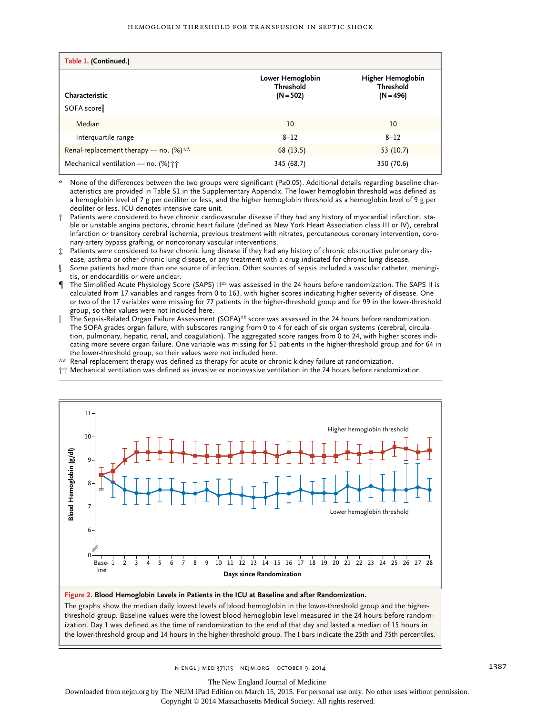#### Hemoglobin Threshold for Transfusion in Septic Shock

| Table 1. (Continued.)                    |                                                     |                                                      |
|------------------------------------------|-----------------------------------------------------|------------------------------------------------------|
| Characteristic<br>SOFA score             | Lower Hemoglobin<br><b>Threshold</b><br>$(N = 502)$ | Higher Hemoglobin<br><b>Threshold</b><br>$(N = 496)$ |
| Median                                   | 10                                                  | 10                                                   |
| Interquartile range                      | $8 - 12$                                            | $8 - 12$                                             |
| Renal-replacement therapy — no. $(\%)^*$ | 68 (13.5)                                           | 53 (10.7)                                            |
| Mechanical ventilation - no. (%) ††      | 345 (68.7)                                          | 350 (70.6)                                           |

None of the differences between the two groups were significant (P≥0.05). Additional details regarding baseline characteristics are provided in Table S1 in the Supplementary Appendix. The lower hemoglobin threshold was defined as a hemoglobin level of 7 g per deciliter or less, and the higher hemoglobin threshold as a hemoglobin level of 9 g per deciliter or less. ICU denotes intensive care unit.

- Patients were considered to have chronic cardiovascular disease if they had any history of myocardial infarction, stable or unstable angina pectoris, chronic heart failure (defined as New York Heart Association class III or IV), cerebral infarction or transitory cerebral ischemia, previous treatment with nitrates, percutaneous coronary intervention, coronary-artery bypass grafting, or noncoronary vascular interventions.
- ‡ Patients were considered to have chronic lung disease if they had any history of chronic obstructive pulmonary disease, asthma or other chronic lung disease, or any treatment with a drug indicated for chronic lung disease.
- Some patients had more than one source of infection. Other sources of sepsis included a vascular catheter, meningitis, or endocarditis or were unclear.
- The Simplified Acute Physiology Score (SAPS) II<sup>25</sup> was assessed in the 24 hours before randomization. The SAPS II is calculated from 17 variables and ranges from 0 to 163, with higher scores indicating higher severity of disease. One or two of the 17 variables were missing for 77 patients in the higher-threshold group and for 99 in the lower-threshold
- group, so their values were not included here.<br>The Sepsis-Related Organ Failure Assessment (SOFA)<sup>26</sup> score was assessed in the 24 hours before randomization. The SOFA grades organ failure, with subscores ranging from 0 to 4 for each of six organ systems (cerebral, circulation, pulmonary, hepatic, renal, and coagulation). The aggregated score ranges from 0 to 24, with higher scores indicating more severe organ failure. One variable was missing for 51 patients in the higher-threshold group and for 64 in the lower-threshold group, so their values were not included here.
- \*\* Renal-replacement therapy was defined as therapy for acute or chronic kidney failure at randomization.
- †† Mechanical ventilation was defined as invasive or noninvasive ventilation in the 24 hours before randomization.



## **Figure 2. Blood Hemoglobin Levels in Patients in the ICU at Baseline and after Randomization.**

The graphs show the median daily lowest levels of blood hemoglobin in the lower-threshold group and the higherthreshold group. Baseline values were the lowest blood hemoglobin level measured in the 24 hours before randomization. Day 1 was defined as the time of randomization to the end of that day and lasted a median of 15 hours in the lower-threshold group and 14 hours in the higher-threshold group. The I bars indicate the 25th and 75th percentiles.

The New England Journal of Medicine

Downloaded from nejm.org by The NEJM iPad Edition on March 15, 2015. For personal use only. No other uses without permission.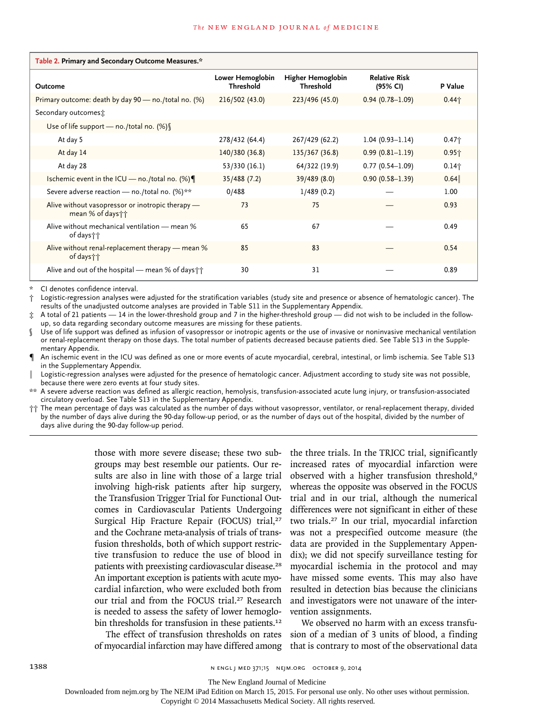| Table 2. Primary and Secondary Outcome Measures.*                     |                               |                                       |                                  |                   |
|-----------------------------------------------------------------------|-------------------------------|---------------------------------------|----------------------------------|-------------------|
| Outcome                                                               | Lower Hemoglobin<br>Threshold | <b>Higher Hemoglobin</b><br>Threshold | <b>Relative Risk</b><br>(95% CI) | P Value           |
| Primary outcome: death by day 90 - no./total no. (%)                  | 216/502 (43.0)                | 223/496 (45.0)                        | $0.94(0.78 - 1.09)$              | $0.44 +$          |
| Secondary outcomes:                                                   |                               |                                       |                                  |                   |
| Use of life support — no./total no. $(\%)$                            |                               |                                       |                                  |                   |
| At day 5                                                              | 278/432 (64.4)                | 267/429 (62.2)                        | $1.04(0.93 - 1.14)$              | 0.47 <sub>1</sub> |
| At day 14                                                             | 140/380 (36.8)                | 135/367 (36.8)                        | $0.99(0.81 - 1.19)$              | $0.95 +$          |
| At day 28                                                             | 53/330 (16.1)                 | 64/322 (19.9)                         | $0.77(0.54 - 1.09)$              | $0.14 +$          |
| Ischemic event in the ICU — no./total no. $(\%) \P$                   | 35/488 (7.2)                  | 39/489 (8.0)                          | $0.90(0.58 - 1.39)$              | 0.64              |
| Severe adverse reaction - no./total no. (%)**                         | 0/488                         | 1/489(0.2)                            |                                  | 1.00              |
| Alive without vasopressor or inotropic therapy —<br>mean % of days it | 73                            | 75                                    |                                  | 0.93              |
| Alive without mechanical ventilation — mean %<br>of days††            | 65                            | 67                                    |                                  | 0.49              |
| Alive without renal-replacement therapy — mean %<br>of days††         | 85                            | 83                                    |                                  | 0.54              |
| Alive and out of the hospital — mean $%$ of days $\dagger \uparrow$   | 30                            | 31                                    |                                  | 0.89              |

CI denotes confidence interval.

† Logistic-regression analyses were adjusted for the stratification variables (study site and presence or absence of hematologic cancer). The results of the unadjusted outcome analyses are provided in Table S11 in the Supplementary Appendix.

 $\dot{x}$  A total of 21 patients — 14 in the lower-threshold group and 7 in the higher-threshold group — did not wish to be included in the followup, so data regarding secondary outcome measures are missing for these patients.

Use of life support was defined as infusion of vasopressor or inotropic agents or the use of invasive or noninvasive mechanical ventilation or renal-replacement therapy on those days. The total number of patients decreased because patients died. See Table S13 in the Supplementary Appendix.

An ischemic event in the ICU was defined as one or more events of acute myocardial, cerebral, intestinal, or limb ischemia. See Table S13 in the Supplementary Appendix.

‖ Logistic-regression analyses were adjusted for the presence of hematologic cancer. Adjustment according to study site was not possible, because there were zero events at four study sites.

A severe adverse reaction was defined as allergic reaction, hemolysis, transfusion-associated acute lung injury, or transfusion-associated circulatory overload. See Table S13 in the Supplementary Appendix.

†† The mean percentage of days was calculated as the number of days without vasopressor, ventilator, or renal-replacement therapy, divided by the number of days alive during the 90-day follow-up period, or as the number of days out of the hospital, divided by the number of days alive during the 90-day follow-up period.

> those with more severe disease; these two subgroups may best resemble our patients. Our results are also in line with those of a large trial involving high-risk patients after hip surgery, the Transfusion Trigger Trial for Functional Outcomes in Cardiovascular Patients Undergoing Surgical Hip Fracture Repair (FOCUS) trial,<sup>27</sup> and the Cochrane meta-analysis of trials of transfusion thresholds, both of which support restrictive transfusion to reduce the use of blood in patients with preexisting cardiovascular disease.<sup>28</sup> An important exception is patients with acute myocardial infarction, who were excluded both from our trial and from the FOCUS trial.<sup>27</sup> Research is needed to assess the safety of lower hemoglobin thresholds for transfusion in these patients.<sup>12</sup>

> The effect of transfusion thresholds on rates of myocardial infarction may have differed among

the three trials. In the TRICC trial, significantly increased rates of myocardial infarction were observed with a higher transfusion threshold,<sup>9</sup> whereas the opposite was observed in the FOCUS trial and in our trial, although the numerical differences were not significant in either of these two trials.27 In our trial, myocardial infarction was not a prespecified outcome measure (the data are provided in the Supplementary Appendix); we did not specify surveillance testing for myocardial ischemia in the protocol and may have missed some events. This may also have resulted in detection bias because the clinicians and investigators were not unaware of the intervention assignments.

We observed no harm with an excess transfusion of a median of 3 units of blood, a finding that is contrary to most of the observational data

The New England Journal of Medicine

Downloaded from nejm.org by The NEJM iPad Edition on March 15, 2015. For personal use only. No other uses without permission.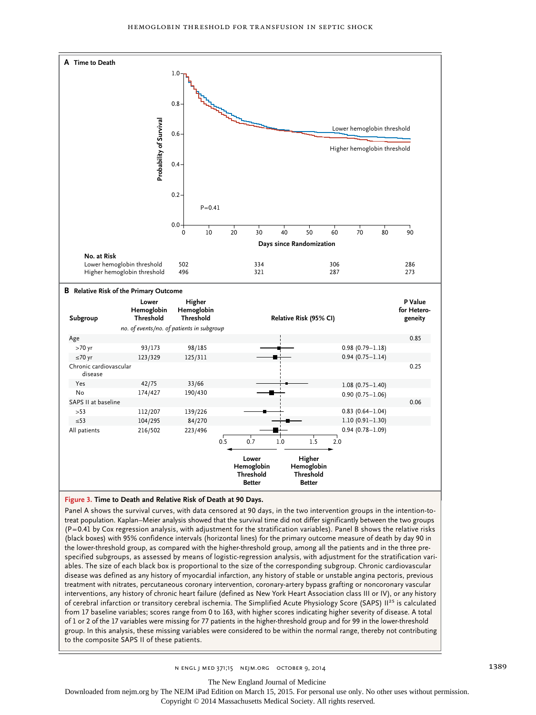

#### **Figure 3. Time to Death and Relative Risk of Death at 90 Days.**

Panel A shows the survival curves, with data censored at 90 days, in the two intervention groups in the intention-totreat population. Kaplan–Meier analysis showed that the survival time did not differ significantly between the two groups (P=0.41 by Cox regression analysis, with adjustment for the stratification variables). Panel B shows the relative risks (black boxes) with 95% confidence intervals (horizontal lines) for the primary outcome measure of death by day 90 in the lower-threshold group, as compared with the higher-threshold group, among all the patients and in the three prespecified subgroups, as assessed by means of logistic-regression analysis, with adjustment for the stratification variables. The size of each black box is proportional to the size of the corresponding subgroup. Chronic cardiovascular disease was defined as any history of myocardial infarction, any history of stable or unstable angina pectoris, previous treatment with nitrates, percutaneous coronary intervention, coronary-artery bypass grafting or noncoronary vascular interventions, any history of chronic heart failure (defined as New York Heart Association class III or IV), or any history of cerebral infarction or transitory cerebral ischemia. The Simplified Acute Physiology Score (SAPS) II<sup>25</sup> is calculated from 17 baseline variables; scores range from 0 to 163, with higher scores indicating higher severity of disease. A total of 1 or 2 of the 17 variables were missing for 77 patients in the higher-threshold group and for 99 in the lower-threshold group. In this analysis, these missing variables were considered to be within the normal range, thereby not contributing to the composite SAPS II of these patients.

n engl j med 371;15 nejm.org october 9, 2014 1389

The New England Journal of Medicine

Downloaded from nejm.org by The NEJM iPad Edition on March 15, 2015. For personal use only. No other uses without permission.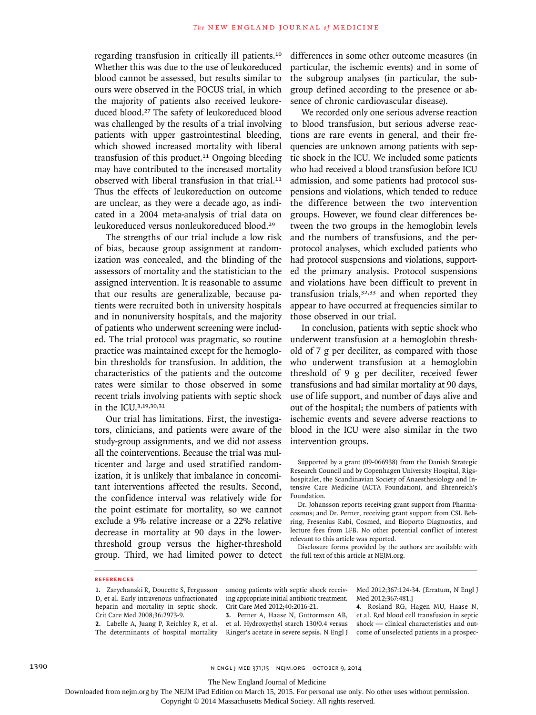regarding transfusion in critically ill patients.<sup>10</sup> Whether this was due to the use of leukoreduced blood cannot be assessed, but results similar to ours were observed in the FOCUS trial, in which the majority of patients also received leukoreduced blood.27 The safety of leukoreduced blood was challenged by the results of a trial involving patients with upper gastrointestinal bleeding, which showed increased mortality with liberal transfusion of this product.<sup>11</sup> Ongoing bleeding may have contributed to the increased mortality observed with liberal transfusion in that trial.<sup>11</sup> Thus the effects of leukoreduction on outcome are unclear, as they were a decade ago, as indicated in a 2004 meta-analysis of trial data on leukoreduced versus nonleukoreduced blood.<sup>29</sup>

The strengths of our trial include a low risk of bias, because group assignment at randomization was concealed, and the blinding of the assessors of mortality and the statistician to the assigned intervention. It is reasonable to assume that our results are generalizable, because patients were recruited both in university hospitals and in nonuniversity hospitals, and the majority of patients who underwent screening were included. The trial protocol was pragmatic, so routine practice was maintained except for the hemoglobin thresholds for transfusion. In addition, the characteristics of the patients and the outcome rates were similar to those observed in some recent trials involving patients with septic shock in the ICU.3,19,30,31

Our trial has limitations. First, the investigators, clinicians, and patients were aware of the study-group assignments, and we did not assess all the cointerventions. Because the trial was multicenter and large and used stratified randomization, it is unlikely that imbalance in concomitant interventions affected the results. Second, the confidence interval was relatively wide for the point estimate for mortality, so we cannot exclude a 9% relative increase or a 22% relative decrease in mortality at 90 days in the lowerthreshold group versus the higher-threshold group. Third, we had limited power to detect differences in some other outcome measures (in particular, the ischemic events) and in some of the subgroup analyses (in particular, the subgroup defined according to the presence or absence of chronic cardiovascular disease).

We recorded only one serious adverse reaction to blood transfusion, but serious adverse reactions are rare events in general, and their frequencies are unknown among patients with septic shock in the ICU. We included some patients who had received a blood transfusion before ICU admission, and some patients had protocol suspensions and violations, which tended to reduce the difference between the two intervention groups. However, we found clear differences between the two groups in the hemoglobin levels and the numbers of transfusions, and the perprotocol analyses, which excluded patients who had protocol suspensions and violations, supported the primary analysis. Protocol suspensions and violations have been difficult to prevent in transfusion trials,32,33 and when reported they appear to have occurred at frequencies similar to those observed in our trial.

In conclusion, patients with septic shock who underwent transfusion at a hemoglobin threshold of 7 g per deciliter, as compared with those who underwent transfusion at a hemoglobin threshold of 9 g per deciliter, received fewer transfusions and had similar mortality at 90 days, use of life support, and number of days alive and out of the hospital; the numbers of patients with ischemic events and severe adverse reactions to blood in the ICU were also similar in the two intervention groups.

Supported by a grant (09-066938) from the Danish Strategic Research Council and by Copenhagen University Hospital, Rigshospitalet, the Scandinavian Society of Anaesthesiology and Intensive Care Medicine (ACTA Foundation), and Ehrenreich's Foundation.

Dr. Johansson reports receiving grant support from Pharmacosmos; and Dr. Perner, receiving grant support from CSL Behring, Fresenius Kabi, Cosmed, and Bioporto Diagnostics, and lecture fees from LFB. No other potential conflict of interest relevant to this article was reported.

Disclosure forms provided by the authors are available with the full text of this article at NEJM.org.

#### **REFERENCES**

**1.** Zarychanski R, Doucette S, Fergusson D, et al. Early intravenous unfractionated heparin and mortality in septic shock. Crit Care Med 2008;36:2973-9.

**2.** Labelle A, Juang P, Reichley R, et al. The determinants of hospital mortality among patients with septic shock receiving appropriate initial antibiotic treatment. Crit Care Med 2012;40:2016-21.

**3.** Perner A, Haase N, Guttormsen AB, et al. Hydroxyethyl starch 130/0.4 versus Ringer's acetate in severe sepsis. N Engl J Med 2012;367:124-34. [Erratum, N Engl J Med 2012;367:481.]

**4.** Rosland RG, Hagen MU, Haase N, et al. Red blood cell transfusion in septic shock — clinical characteristics and outcome of unselected patients in a prospec-

1390 **n engl j med 371;15 NEIM.ORG** october 9, 2014

The New England Journal of Medicine

Downloaded from nejm.org by The NEJM iPad Edition on March 15, 2015. For personal use only. No other uses without permission.